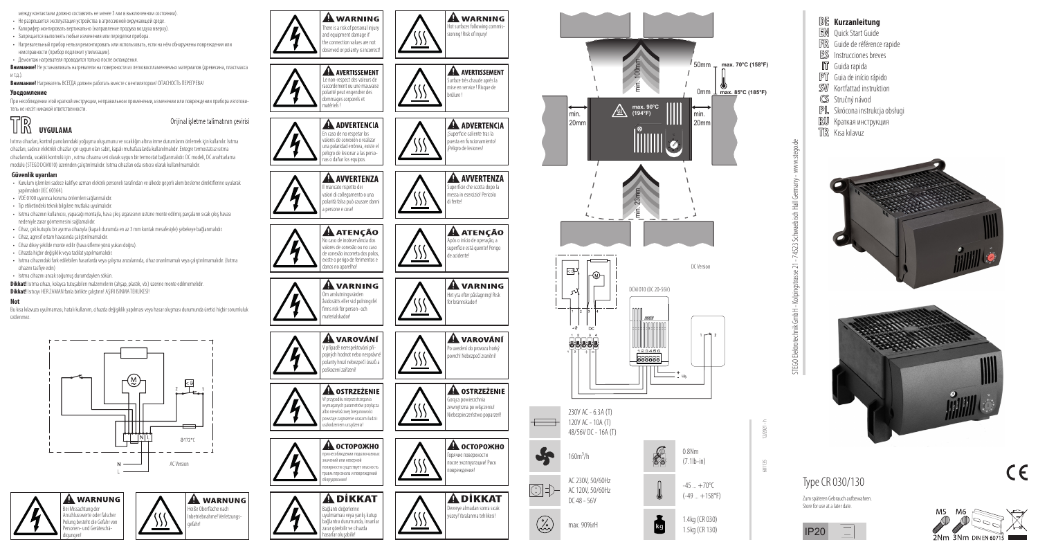

- Калорифер монтировать вертикально (направление продува воздуха вверху).
- Запрещается выполнять любые изменения или переделки прибора.
- Нагревательный прибор нельзя ремонтировать или использовать, если на нём обнаружены повреждения или неисправности (прибор подлежит утилизации).
- Демонтаж нагревателя проводится только после охлаждения.
- **Внимание!** Не устанавливать нагреватели на поверхности из легковоспламеняемых материалов (древесина, пластмасса и т.д.).
- **Внимание!** Нагреватель ВСЕГДА должен работать вместе с вентилятором! ОПАСНОСТЬ ПЕРЕГРЕВА!

#### **Уведомление**

При несоблюдении этой краткой инструкции, неправильном применении, изменении или повреждении прибора изготови тель не несёт никакой ответственности.



Isıtma cihazları, kontrol panolarındaki yoğuşma oluşumunu ve sıcaklığın altına inme durumlarını önlemek için kullanılır. Isıtma cihazları, sadece elektrikli cihazlar için uygun olan sabit, kapalı muhafazalarda kullanılmalıdır. Entegre termostatsız ısıtma cihazlarında, sıcaklık kontrolü için , ısıtma cihazına seri olarak uygun bir termostat bağlanmalıdır. DC modeli, DC anahtarlama modülü (STEGO DCM010) üzerinden çalıştırılmalıdır. Isıtma cihazları oda ısıtıcısı olarak kullanılmamalıdır.

#### **Güvenlik uyarıları**

- Kurulum işlemleri sadece kalifiye uzman elektrik personeli tarafından ve ülkede geçerli akım besleme direktiflerine uyularak yapılmalıdır (IEC 60364).
- VDE 0100 uyarınca koruma önlemleri sağlanmalıdır.
- Tip etiketindeki teknik bilgilere mutlaka uyulmalıdır.
- Isıtma cihazının kullanıcısı, yapacağı montajla, hava çıkış ızgarasının üstüne monte edilmiş parçaların sıcak çıkış havası nedeniyle zarar görmemesini sağlamalıdır.
- Cihaz, çok kutuplu bir ayırma cihazıyla (kapalı durumda en az 3 mm kontak mesafesiyle) şebekeye bağlanmalıdır.
- Cihaz, agresif ortam havasında çalıştırılmamalıdır.
- Cihaz dikey şekilde monte edilir (hava üfleme yönü yukarı doğru).
- Cihazda hiçbir değişiklik veya tadilat yapılmamalıdır.
- Isıtma cihazındaki fark edilebilen hasarlarda veya çalışma arızalarında, cihaz onarılmamalı veya çalıştırılmamalıdır. (Isıtma cihazını tasfiye edin)
- Isıtma cihazını ancak soğumuş durumdayken sökün.
- **Dikkat!** Isıtma cihazı, kolayca tutuşabilen malzemelerin (ahşap, plastik, vb.) üzerine monte edilmemelidir. **Dikkat!** Isıtıcıyı HER ZAMAN fanla birlikte çalıştırın! AŞIRI ISINMA TEHLİKESİ!

#### **Not**

Bu kısa kılavuza uyulmaması, hatalı kullanım, cihazda değişiklik yapılması veya hasar oluşması durumunda üretici hiçbir sorumluluk üstlenmez.



gefahr!





There is a risk of personal injury and equipment damage if he connection values are not bserved or polarity is incorrect

**A WARNING** 

повреждения!

för brännskador!

de acidente!

di ferite!

brûlure !







IP20